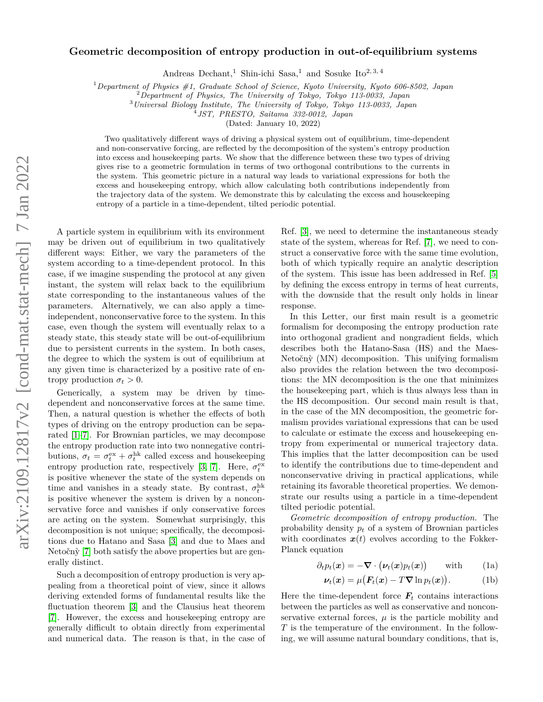## **Geometric decomposition of entropy production in out-of-equilibrium systems**

Andreas Dechant,<sup>1</sup> Shin-ichi Sasa,<sup>1</sup> and Sosuke Ito<sup>2, 3, 4</sup>

<sup>1</sup>*Department of Physics #1, Graduate School of Science, Kyoto University, Kyoto 606-8502, Japan*

<sup>2</sup>*Department of Physics, The University of Tokyo, Tokyo 113-0033, Japan*

<sup>3</sup>*Universal Biology Institute, The University of Tokyo, Tokyo 113-0033, Japan*

4 *JST, PRESTO, Saitama 332-0012, Japan*

(Dated: January 10, 2022)

Two qualitatively different ways of driving a physical system out of equilibrium, time-dependent and non-conservative forcing, are reflected by the decomposition of the system's entropy production into excess and housekeeping parts. We show that the difference between these two types of driving gives rise to a geometric formulation in terms of two orthogonal contributions to the currents in the system. This geometric picture in a natural way leads to variational expressions for both the excess and housekeeping entropy, which allow calculating both contributions independently from the trajectory data of the system. We demonstrate this by calculating the excess and housekeeping entropy of a particle in a time-dependent, tilted periodic potential.

A particle system in equilibrium with its environment may be driven out of equilibrium in two qualitatively different ways: Either, we vary the parameters of the system according to a time-dependent protocol. In this case, if we imagine suspending the protocol at any given instant, the system will relax back to the equilibrium state corresponding to the instantaneous values of the parameters. Alternatively, we can also apply a timeindependent, nonconservative force to the system. In this case, even though the system will eventually relax to a steady state, this steady state will be out-of-equilibrium due to persistent currents in the system. In both cases, the degree to which the system is out of equilibrium at any given time is characterized by a positive rate of entropy production  $\sigma_t > 0$ .

Generically, a system may be driven by timedependent and nonconservative forces at the same time. Then, a natural question is whether the effects of both types of driving on the entropy production can be separated [\[1](#page-5-0)[–7\]](#page-5-1). For Brownian particles, we may decompose the entropy production rate into two nonnegative contributions,  $\sigma_t = \sigma_t^{\text{ex}} + \sigma_t^{\text{hk}}$  called excess and housekeeping entropy production rate, respectively [\[3,](#page-5-2) [7\]](#page-5-1). Here,  $\sigma_t^{\text{ex}}$ is positive whenever the state of the system depends on time and vanishes in a steady state. By contrast,  $\sigma_t^{\text{hk}}$ is positive whenever the system is driven by a nonconservative force and vanishes if only conservative forces are acting on the system. Somewhat surprisingly, this decomposition is not unique; specifically, the decompositions due to Hatano and Sasa [\[3\]](#page-5-2) and due to Maes and Netočnỳ [\[7\]](#page-5-1) both satisfy the above properties but are generally distinct.

Such a decomposition of entropy production is very appealing from a theoretical point of view, since it allows deriving extended forms of fundamental results like the fluctuation theorem [\[3\]](#page-5-2) and the Clausius heat theorem [\[7\]](#page-5-1). However, the excess and housekeeping entropy are generally difficult to obtain directly from experimental and numerical data. The reason is that, in the case of

Ref. [\[3\]](#page-5-2), we need to determine the instantaneous steady state of the system, whereas for Ref. [\[7\]](#page-5-1), we need to construct a conservative force with the same time evolution, both of which typically require an analytic description of the system. This issue has been addressed in Ref. [\[5\]](#page-5-3) by defining the excess entropy in terms of heat currents, with the downside that the result only holds in linear response.

In this Letter, our first main result is a geometric formalism for decomposing the entropy production rate into orthogonal gradient and nongradient fields, which describes both the Hatano-Sasa (HS) and the Maes-Netočnỳ (MN) decomposition. This unifying formalism also provides the relation between the two decompositions: the MN decomposition is the one that minimizes the housekeeping part, which is thus always less than in the HS decomposition. Our second main result is that, in the case of the MN decomposition, the geometric formalism provides variational expressions that can be used to calculate or estimate the excess and housekeeping entropy from experimental or numerical trajectory data. This implies that the latter decomposition can be used to identify the contributions due to time-dependent and nonconservative driving in practical applications, while retaining its favorable theoretical properties. We demonstrate our results using a particle in a time-dependent tilted periodic potential.

*Geometric decomposition of entropy production.* The probability density *p<sup>t</sup>* of a system of Brownian particles with coordinates  $x(t)$  evolves according to the Fokker-Planck equation

$$
\partial_t p_t(\boldsymbol{x}) = -\boldsymbol{\nabla} \cdot \big(\boldsymbol{\nu}_t(\boldsymbol{x}) p_t(\boldsymbol{x})\big) \qquad \text{with} \qquad (1a)
$$

<span id="page-0-1"></span><span id="page-0-0"></span>
$$
\nu_t(\boldsymbol{x}) = \mu(\boldsymbol{F}_t(\boldsymbol{x}) - T\boldsymbol{\nabla}\ln p_t(\boldsymbol{x})). \tag{1b}
$$

Here the time-dependent force  $\mathbf{F}_t$  contains interactions between the particles as well as conservative and nonconservative external forces,  $\mu$  is the particle mobility and *T* is the temperature of the environment. In the following, we will assume natural boundary conditions, that is,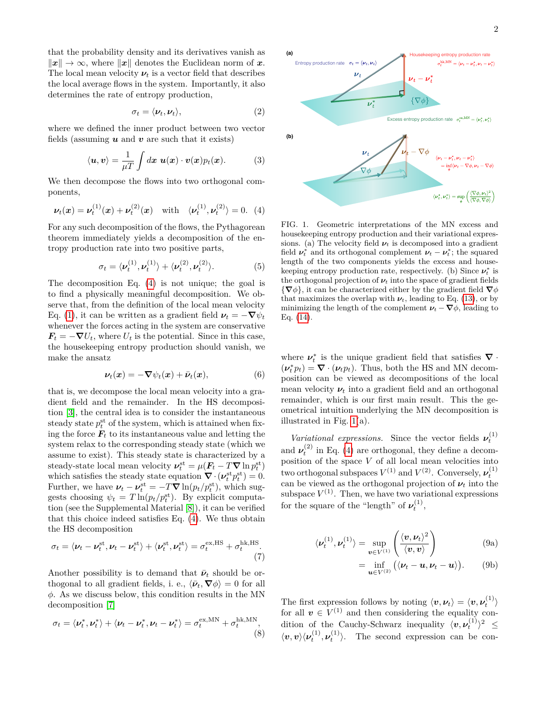that the probability density and its derivatives vanish as  $\|\boldsymbol{x}\| \to \infty$ , where  $\|\boldsymbol{x}\|$  denotes the Euclidean norm of  $\boldsymbol{x}$ . The local mean velocity  $\nu_t$  is a vector field that describes the local average flows in the system. Importantly, it also determines the rate of entropy production,

$$
\sigma_t = \langle \nu_t, \nu_t \rangle, \tag{2}
$$

where we defined the inner product between two vector fields (assuming  $u$  and  $v$  are such that it exists)

$$
\langle \boldsymbol{u}, \boldsymbol{v} \rangle = \frac{1}{\mu T} \int d\boldsymbol{x} \; \boldsymbol{u}(\boldsymbol{x}) \cdot \boldsymbol{v}(\boldsymbol{x}) p_t(\boldsymbol{x}). \tag{3}
$$

We then decompose the flows into two orthogonal components,

$$
\nu_t(\boldsymbol{x}) = \nu_t^{(1)}(\boldsymbol{x}) + \nu_t^{(2)}(\boldsymbol{x}) \quad \text{with} \quad \langle \nu_t^{(1)}, \nu_t^{(2)} \rangle = 0. \tag{4}
$$

For any such decomposition of the flows, the Pythagorean theorem immediately yields a decomposition of the entropy production rate into two positive parts,

$$
\sigma_t = \langle \boldsymbol{\nu}_t^{(1)}, \boldsymbol{\nu}_t^{(1)} \rangle + \langle \boldsymbol{\nu}_t^{(2)}, \boldsymbol{\nu}_t^{(2)} \rangle. \tag{5}
$$

The decomposition Eq. [\(4\)](#page-1-0) is not unique; the goal is to find a physically meaningful decomposition. We observe that, from the definition of the local mean velocity Eq. [\(1\)](#page-0-0), it can be written as a gradient field  $\nu_t = -\nabla \psi_t$ whenever the forces acting in the system are conservative  $F_t = -\nabla U_t$ , where  $U_t$  is the potential. Since in this case, the housekeeping entropy production should vanish, we make the ansatz

$$
\nu_t(\boldsymbol{x}) = -\nabla \psi_t(\boldsymbol{x}) + \bar{\nu}_t(\boldsymbol{x}), \qquad (6)
$$

that is, we decompose the local mean velocity into a gradient field and the remainder. In the HS decomposition [\[3\]](#page-5-2), the central idea is to consider the instantaneous steady state  $p_t^{\text{st}}$  of the system, which is attained when fixing the force  $\mathbf{F}_t$  to its instantaneous value and letting the system relax to the corresponding steady state (which we assume to exist). This steady state is characterized by a steady-state local mean velocity  $v_t^{\text{st}} = \mu(F_t - T \nabla \ln p_t^{\text{st}})$ which satisfies the steady state equation  $\nabla \cdot (\nu_t^{\text{st}} p_t^{\text{st}}) = 0.$ Further, we have  $\nu_t - \nu_t^{\text{st}} = -T \nabla \ln(p_t/p_t^{\text{st}})$ , which suggests choosing  $\psi_t = T \ln(p_t/p_t^{\text{st}})$ . By explicit computation (see the Supplemental Material [\[8\]](#page-5-4)), it can be verified that this choice indeed satisfies Eq. [\(4\)](#page-1-0). We thus obtain the HS decomposition

$$
\sigma_t = \langle \boldsymbol{\nu}_t - \boldsymbol{\nu}_t^{\text{st}}, \boldsymbol{\nu}_t - \boldsymbol{\nu}_t^{\text{st}} \rangle + \langle \boldsymbol{\nu}_t^{\text{st}}, \boldsymbol{\nu}_t^{\text{st}} \rangle = \sigma_t^{\text{ex,HS}} + \sigma_t^{\text{hk,HS}}.
$$
\n(7)

Another possibility is to demand that  $\bar{\nu}_t$  should be orthogonal to all gradient fields, i. e.,  $\langle \bar{\nu}_t, \nabla \phi \rangle = 0$  for all *φ*. As we discuss below, this condition results in the MN decomposition [\[7\]](#page-5-1)

$$
\sigma_t = \langle \boldsymbol{\nu}_t^*, \boldsymbol{\nu}_t^* \rangle + \langle \boldsymbol{\nu}_t - \boldsymbol{\nu}_t^*, \boldsymbol{\nu}_t - \boldsymbol{\nu}_t^* \rangle = \sigma_t^{\text{ex,MN}} + \sigma_t^{\text{hk,MN}}, \tag{8}
$$



<span id="page-1-3"></span><span id="page-1-1"></span><span id="page-1-0"></span>FIG. 1. Geometric interpretations of the MN excess and housekeeping entropy production and their variational expressions. (a) The velocity field  $\nu_t$  is decomposed into a gradient field  $\nu_t^*$  and its orthogonal complement  $\nu_t - \nu_t^*$ ; the squared length of the two components yields the excess and housekeeping entropy production rate, respectively. (b) Since  $\nu_t^*$  is the orthogonal projection of  $\nu_t$  into the space of gradient fields {**∇***φ*}, it can be characterized either by the gradient field **∇***φ* that maximizes the overlap with  $\nu_t$ , leading to Eq. [\(13\)](#page-2-0), or by minimizing the length of the complement  $\nu_t - \nabla \phi$ , leading to Eq. [\(14\)](#page-2-1).

<span id="page-1-5"></span>where  $\nu_t^*$  is the unique gradient field that satisfies  $\nabla \cdot$  $(\nu_t^* p_t) = \nabla \cdot (\nu_t p_t)$ . Thus, both the HS and MN decomposition can be viewed as decompositions of the local mean velocity  $\nu_t$  into a gradient field and an orthogonal remainder, which is our first main result. This the geometrical intuition underlying the MN decomposition is illustrated in Fig. [1\(](#page-1-1)a).

*Variational expressions.* Since the vector fields  $\nu_t^{(1)}$ and  $\nu_t^{(2)}$  in Eq. [\(4\)](#page-1-0) are orthogonal, they define a decomposition of the space *V* of all local mean velocities into two orthogonal subspaces  $V^{(1)}$  and  $V^{(2)}$ . Conversely,  $\nu_t^{(1)}$ can be viewed as the orthogonal projection of  $\nu_t$  into the subspace  $V^{(1)}$ . Then, we have two variational expressions for the square of the "length" of  $\nu_t^{(1)}$ ,

$$
\langle \boldsymbol{\nu}_t^{(1)}, \boldsymbol{\nu}_t^{(1)} \rangle = \sup_{\boldsymbol{v} \in V^{(1)}} \left( \frac{\langle \boldsymbol{v}, \boldsymbol{\nu}_t \rangle^2}{\langle \boldsymbol{v}, \boldsymbol{v} \rangle} \right) \tag{9a}
$$

<span id="page-1-2"></span>
$$
= \inf_{\boldsymbol{u}\in V^{(2)}} (\langle \boldsymbol{\nu}_t-\boldsymbol{u},\boldsymbol{\nu}_t-\boldsymbol{u}\rangle). \qquad (9b)
$$

<span id="page-1-4"></span>The first expression follows by noting  $\langle v, \nu_t \rangle = \langle v, \nu_t^{(1)} \rangle$ for all  $v \in V^{(1)}$  and then considering the equality condition of the Cauchy-Schwarz inequality  $\langle v, \nu_t^{(1)} \rangle^2$   $\leq$  $\langle v, v \rangle \langle \nu_t^{(1)}, \nu_t^{(1)} \rangle$ . The second expression can be con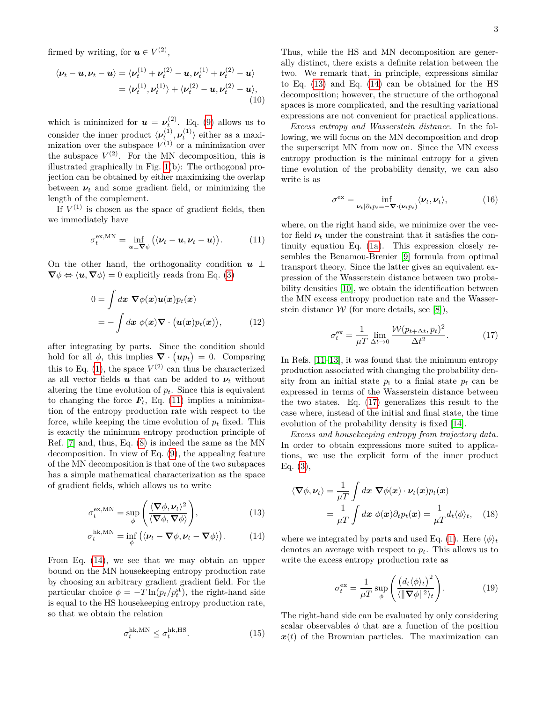firmed by writing, for  $u \in V^{(2)}$ ,

$$
\langle \boldsymbol{\nu}_t - \boldsymbol{u}, \boldsymbol{\nu}_t - \boldsymbol{u} \rangle = \langle \boldsymbol{\nu}_t^{(1)} + \boldsymbol{\nu}_t^{(2)} - \boldsymbol{u}, \boldsymbol{\nu}_t^{(1)} + \boldsymbol{\nu}_t^{(2)} - \boldsymbol{u} \rangle
$$
  
=  $\langle \boldsymbol{\nu}_t^{(1)}, \boldsymbol{\nu}_t^{(1)} \rangle + \langle \boldsymbol{\nu}_t^{(2)} - \boldsymbol{u}, \boldsymbol{\nu}_t^{(2)} - \boldsymbol{u} \rangle,$   
(10)

which is minimized for  $u = \nu_t^{(2)}$ . Eq. [\(9\)](#page-1-2) allows us to consider the inner product  $\langle \nu_t^{(1)}, \nu_t^{(1)} \rangle$  either as a maximization over the subspace  $V^{(1)}$  or a minimization over the subspace  $V^{(2)}$ . For the MN decomposition, this is illustrated graphically in Fig. [1\(](#page-1-1)b): The orthogonal projection can be obtained by either maximizing the overlap between  $\nu_t$  and some gradient field, or minimizing the length of the complement.

If  $V^{(1)}$  is chosen as the space of gradient fields, then we immediately have

$$
\sigma_t^{\text{ex,MN}} = \inf_{\boldsymbol{u} \perp \boldsymbol{\nabla} \phi} (\langle \boldsymbol{\nu}_t - \boldsymbol{u}, \boldsymbol{\nu}_t - \boldsymbol{u} \rangle). \tag{11}
$$

On the other hand, the orthogonality condition  $u \perp$  $\nabla \phi \Leftrightarrow \langle \mathbf{u}, \nabla \phi \rangle = 0$  explicitly reads from Eq. [\(3\)](#page-1-3)

$$
0 = \int dx \ \nabla \phi(x) u(x) p_t(x)
$$
  
= 
$$
- \int dx \ \phi(x) \nabla \cdot (u(x) p_t(x)), \qquad (12)
$$

after integrating by parts. Since the condition should hold for all  $\phi$ , this implies  $\nabla \cdot (\boldsymbol{u} p_t) = 0$ . Comparing this to Eq.  $(1)$ , the space  $V^{(2)}$  can thus be characterized as all vector fields  $u$  that can be added to  $\nu_t$  without altering the time evolution of  $p_t$ . Since this is equivalent to changing the force  $\mathbf{F}_t$ , Eq. [\(11\)](#page-2-2) implies a minimization of the entropy production rate with respect to the force, while keeping the time evolution of  $p_t$  fixed. This is exactly the minimum entropy production principle of Ref. [\[7\]](#page-5-1) and, thus, Eq. [\(8\)](#page-1-4) is indeed the same as the MN decomposition. In view of Eq. [\(9\)](#page-1-2), the appealing feature of the MN decomposition is that one of the two subspaces has a simple mathematical characterization as the space of gradient fields, which allows us to write

$$
\sigma_t^{\text{ex,MN}} = \sup_{\phi} \left( \frac{\langle \mathbf{\nabla} \phi, \boldsymbol{\nu}_t \rangle^2}{\langle \mathbf{\nabla} \phi, \mathbf{\nabla} \phi \rangle} \right), \tag{13}
$$

$$
\sigma_t^{\text{hk,MN}} = \inf_{\phi} \left( \langle \boldsymbol{\nu}_t - \boldsymbol{\nabla} \phi, \boldsymbol{\nu}_t - \boldsymbol{\nabla} \phi \rangle \right). \tag{14}
$$

From Eq. [\(14\)](#page-2-1), we see that we may obtain an upper bound on the MN housekeeping entropy production rate by choosing an arbitrary gradient gradient field. For the particular choice  $\phi = -T \ln(p_t/p_t^{\text{st}})$ , the right-hand side is equal to the HS housekeeping entropy production rate, so that we obtain the relation

$$
\sigma_t^{\text{hk, MN}} \le \sigma_t^{\text{hk,HS}}.\tag{15}
$$

Thus, while the HS and MN decomposition are generally distinct, there exists a definite relation between the two. We remark that, in principle, expressions similar to Eq. [\(13\)](#page-2-0) and Eq. [\(14\)](#page-2-1) can be obtained for the HS decomposition; however, the structure of the orthogonal spaces is more complicated, and the resulting variational expressions are not convenient for practical applications.

*Excess entropy and Wasserstein distance.* In the following, we will focus on the MN decomposition and drop the superscript MN from now on. Since the MN excess entropy production is the minimal entropy for a given time evolution of the probability density, we can also write is as

$$
\sigma^{\text{ex}} = \inf_{\nu_t|\partial_t p_t = -\nabla \cdot (\nu_t p_t)} \langle \nu_t, \nu_t \rangle, \tag{16}
$$

<span id="page-2-2"></span>where, on the right hand side, we minimize over the vector field  $\nu_t$  under the constraint that it satisfies the continuity equation Eq. [\(1a\)](#page-0-1). This expression closely resembles the Benamou-Brenier [\[9\]](#page-5-5) formula from optimal transport theory. Since the latter gives an equivalent expression of the Wasserstein distance between two probability densities [\[10\]](#page-5-6), we obtain the identification between the MN excess entropy production rate and the Wasserstein distance  $W$  (for more details, see [\[8\]](#page-5-4)),

<span id="page-2-3"></span>
$$
\sigma_t^{\text{ex}} = \frac{1}{\mu T} \lim_{\Delta t \to 0} \frac{\mathcal{W}(p_{t+\Delta t}, p_t)^2}{\Delta t^2}.
$$
 (17)

In Refs. [\[11–](#page-5-7)[13\]](#page-5-8), it was found that the minimum entropy production associated with changing the probability density from an initial state  $p_i$  to a finial state  $p_f$  can be expressed in terms of the Wasserstein distance between the two states. Eq. [\(17\)](#page-2-3) generalizes this result to the case where, instead of the initial and final state, the time evolution of the probability density is fixed [\[14\]](#page-5-9).

*Excess and housekeeping entropy from trajectory data.* In order to obtain expressions more suited to applications, we use the explicit form of the inner product Eq. [\(3\)](#page-1-3),

$$
\langle \nabla \phi, \nu_t \rangle = \frac{1}{\mu T} \int dx \ \nabla \phi(x) \cdot \nu_t(x) p_t(x)
$$

$$
= \frac{1}{\mu T} \int dx \ \phi(x) \partial_t p_t(x) = \frac{1}{\mu T} d_t \langle \phi \rangle_t, \quad (18)
$$

<span id="page-2-1"></span><span id="page-2-0"></span>where we integrated by parts and used Eq. [\(1\)](#page-0-0). Here  $\langle \phi \rangle_t$ denotes an average with respect to *pt*. This allows us to write the excess entropy production rate as

<span id="page-2-4"></span>
$$
\sigma_t^{\text{ex}} = \frac{1}{\mu T} \sup_{\phi} \left( \frac{\left( d_t \langle \phi \rangle_t \right)^2}{\langle ||\nabla \phi||^2 \rangle_t} \right). \tag{19}
$$

The right-hand side can be evaluated by only considering scalar observables  $\phi$  that are a function of the position  $x(t)$  of the Brownian particles. The maximization can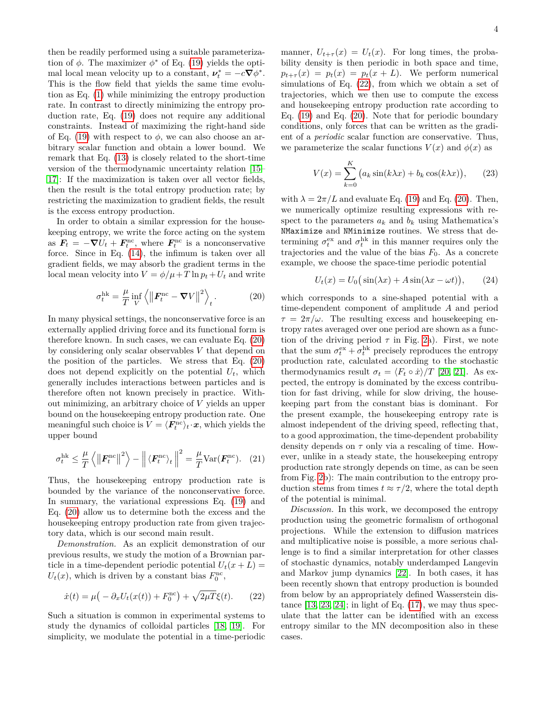then be readily performed using a suitable parameterization of  $\phi$ . The maximizer  $\phi^*$  of Eq. [\(19\)](#page-2-4) yields the optimal local mean velocity up to a constant,  $\nu_t^* = -c\nabla\phi^*$ . This is the flow field that yields the same time evolution as Eq. [\(1\)](#page-0-0) while minimizing the entropy production rate. In contrast to directly minimizing the entropy production rate, Eq. [\(19\)](#page-2-4) does not require any additional constraints. Instead of maximizing the right-hand side of Eq. [\(19\)](#page-2-4) with respect to  $\phi$ , we can also choose an arbitrary scalar function and obtain a lower bound. We remark that Eq. [\(13\)](#page-2-0) is closely related to the short-time version of the thermodynamic uncertainty relation [\[15–](#page-5-10) [17\]](#page-5-11): If the maximization is taken over all vector fields, then the result is the total entropy production rate; by restricting the maximization to gradient fields, the result is the excess entropy production.

In order to obtain a similar expression for the housekeeping entropy, we write the force acting on the system as  $\mathbf{F}_t = -\nabla U_t + \mathbf{F}_t^{\text{nc}}$ , where  $\mathbf{F}_t^{\text{nc}}$  is a nonconservative force. Since in Eq. [\(14\)](#page-2-1), the infimum is taken over all gradient fields, we may absorb the gradient terms in the local mean velocity into  $V = \phi/\mu + T \ln p_t + U_t$  and write

$$
\sigma_t^{\text{hk}} = \frac{\mu}{T} \inf_V \left\langle \left\| \boldsymbol{F}_t^{\text{nc}} - \boldsymbol{\nabla} V \right\|^2 \right\rangle_t. \tag{20}
$$

In many physical settings, the nonconservative force is an externally applied driving force and its functional form is therefore known. In such cases, we can evaluate Eq. [\(20\)](#page-3-0) by considering only scalar observables *V* that depend on the position of the particles. We stress that Eq. [\(20\)](#page-3-0) does not depend explicitly on the potential  $U_t$ , which generally includes interactions between particles and is therefore often not known precisely in practice. Without minimizing, an arbitrary choice of *V* yields an upper bound on the housekeeping entropy production rate. One meaningful such choice is  $V = \langle \mathbf{F}^{\text{nc}}_t \rangle_t \cdot x$ , which yields the upper bound

$$
\sigma_t^{\text{hk}} \leq \frac{\mu}{T} \left\langle \left\| \boldsymbol{F}_t^{\text{nc}} \right\|^2 \right\rangle - \left\| \left\langle \boldsymbol{F}_t^{\text{nc}} \right\rangle_t \right\|^2 = \frac{\mu}{T} \text{Var}(\boldsymbol{F}_t^{\text{nc}}). \quad (21)
$$

Thus, the housekeeping entropy production rate is bounded by the variance of the nonconservative force. In summary, the variational expressions Eq. [\(19\)](#page-2-4) and Eq. [\(20\)](#page-3-0) allow us to determine both the excess and the housekeeping entropy production rate from given trajectory data, which is our second main result.

*Demonstration.* As an explicit demonstration of our previous results, we study the motion of a Brownian particle in a time-dependent periodic potential  $U_t(x+L)$  =  $U_t(x)$ , which is driven by a constant bias  $F_0^{\text{nc}}$ ,

$$
\dot{x}(t) = \mu \left( -\partial_x U_t(x(t)) + F_0^{\text{nc}} \right) + \sqrt{2\mu T} \xi(t). \tag{22}
$$

Such a situation is common in experimental systems to study the dynamics of colloidal particles [\[18,](#page-5-12) [19\]](#page-5-13). For simplicity, we modulate the potential in a time-periodic

manner,  $U_{t+\tau}(x) = U_t(x)$ . For long times, the probability density is then periodic in both space and time,  $p_{t+\tau}(x) = p_t(x) = p_t(x+L)$ . We perform numerical simulations of Eq. [\(22\)](#page-3-1), from which we obtain a set of trajectories, which we then use to compute the excess and housekeeping entropy production rate according to Eq. [\(19\)](#page-2-4) and Eq. [\(20\)](#page-3-0). Note that for periodic boundary conditions, only forces that can be written as the gradient of a *periodic* scalar function are conservative. Thus, we parameterize the scalar functions  $V(x)$  and  $\phi(x)$  as

<span id="page-3-3"></span>
$$
V(x) = \sum_{k=0}^{K} (a_k \sin(k\lambda x) + b_k \cos(k\lambda x)), \qquad (23)
$$

with  $\lambda = 2\pi/L$  and evaluate Eq. [\(19\)](#page-2-4) and Eq. [\(20\)](#page-3-0). Then, we numerically optimize resulting expressions with respect to the parameters  $a_k$  and  $b_k$  using Mathematica's NMaximize and NMinimize routines. We stress that determining  $\sigma_t^{\text{ex}}$  and  $\sigma_t^{\text{hk}}$  in this manner requires only the trajectories and the value of the bias  $F_0$ . As a concrete example, we choose the space-time periodic potential

<span id="page-3-2"></span>
$$
U_t(x) = U_0 \left( \sin(\lambda x) + A \sin(\lambda x - \omega t) \right), \qquad (24)
$$

<span id="page-3-0"></span>which corresponds to a sine-shaped potential with a time-dependent component of amplitude *A* and period  $\tau = 2\pi/\omega$ . The resulting excess and housekeeping entropy rates averaged over one period are shown as a function of the driving period  $\tau$  in Fig. [2a](#page-4-0)). First, we note that the sum  $\sigma_t^{\text{ex}} + \sigma_t^{\text{hk}}$  precisely reproduces the entropy production rate, calculated according to the stochastic thermodynamics result  $\sigma_t = \langle F_t \circ \dot{x} \rangle / T$  [\[20,](#page-5-14) [21\]](#page-5-15). As expected, the entropy is dominated by the excess contribution for fast driving, while for slow driving, the housekeeping part from the constant bias is dominant. For the present example, the housekeeping entropy rate is almost independent of the driving speed, reflecting that, to a good approximation, the time-dependent probability density depends on *τ* only via a rescaling of time. However, unlike in a steady state, the housekeeping entropy production rate strongly depends on time, as can be seen from Fig. [2b](#page-4-0)): The main contribution to the entropy production stems from times  $t \approx \tau/2$ , where the total depth of the potential is minimal.

<span id="page-3-1"></span>*Discussion.* In this work, we decomposed the entropy production using the geometric formalism of orthogonal projections. While the extension to diffusion matrices and multiplicative noise is possible, a more serious challenge is to find a similar interpretation for other classes of stochastic dynamics, notably underdamped Langevin and Markov jump dynamics [\[22\]](#page-5-16). In both cases, it has been recently shown that entropy production is bounded from below by an appropriately defined Wasserstein distance  $[13, 23, 24]$  $[13, 23, 24]$  $[13, 23, 24]$ ; in light of Eq.  $(17)$ , we may thus speculate that the latter can be identified with an excess entropy similar to the MN decomposition also in these cases.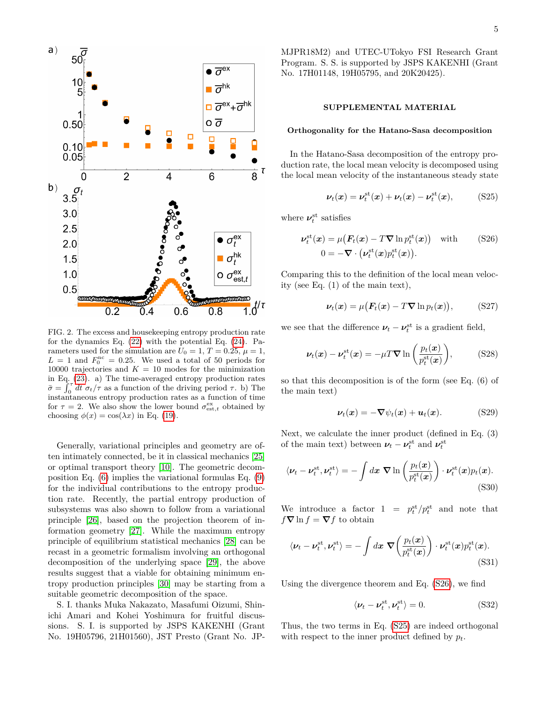

<span id="page-4-0"></span>FIG. 2. The excess and housekeeping entropy production rate for the dynamics Eq. [\(22\)](#page-3-1) with the potential Eq. [\(24\)](#page-3-2). Parameters used for the simulation are  $U_0 = 1, T = 0.25, \mu = 1$ ,  $L = 1$  and  $F_0^{\text{nc}} = 0.25$ . We used a total of 50 periods for 10000 trajectories and  $K = 10$  modes for the minimization in Eq. [\(23\)](#page-3-3). a) The time-averaged entropy production rates  $\bar{\sigma} = \int_0^{\tau} dt \sigma_t / \tau$  as a function of the driving period  $\tau$ . b) The instantaneous entropy production rates as a function of time for  $\tau = 2$ . We also show the lower bound  $\sigma_{est,t}^{ex}$  obtained by choosing  $\phi(x) = \cos(\lambda x)$  in Eq. [\(19\)](#page-2-4).

Generally, variational principles and geometry are often intimately connected, be it in classical mechanics [\[25\]](#page-6-1) or optimal transport theory [\[10\]](#page-5-6). The geometric decomposition Eq. [\(6\)](#page-1-5) implies the variational formulas Eq. [\(9\)](#page-1-2) for the individual contributions to the entropy production rate. Recently, the partial entropy production of subsystems was also shown to follow from a variational principle [\[26\]](#page-6-2), based on the projection theorem of information geometry [\[27\]](#page-6-3). While the maximum entropy principle of equilibrium statistical mechanics [\[28\]](#page-6-4) can be recast in a geometric formalism involving an orthogonal decomposition of the underlying space [\[29\]](#page-6-5), the above results suggest that a viable for obtaining minimum entropy production principles [\[30\]](#page-6-6) may be starting from a suitable geometric decomposition of the space.

S. I. thanks Muka Nakazato, Masafumi Oizumi, Shinichi Amari and Kohei Yoshimura for fruitful discussions. S. I. is supported by JSPS KAKENHI (Grant No. 19H05796, 21H01560), JST Presto (Grant No. JP- MJPR18M2) and UTEC-UTokyo FSI Research Grant Program. S. S. is supported by JSPS KAKENHI (Grant No. 17H01148, 19H05795, and 20K20425).

## **SUPPLEMENTAL MATERIAL**

## **Orthogonality for the Hatano-Sasa decomposition**

In the Hatano-Sasa decomposition of the entropy production rate, the local mean velocity is decomposed using the local mean velocity of the instantaneous steady state

<span id="page-4-2"></span><span id="page-4-1"></span>
$$
\nu_t(\mathbf{x}) = \nu_t^{\text{st}}(\mathbf{x}) + \nu_t(\mathbf{x}) - \nu_t^{\text{st}}(\mathbf{x}), \quad \text{(S25)}
$$

where  $\nu_t^{\text{st}}$  satisfies

$$
\nu_t^{\text{st}}(\boldsymbol{x}) = \mu \big( \boldsymbol{F}_t(\boldsymbol{x}) - T \boldsymbol{\nabla} \ln p_t^{\text{st}}(\boldsymbol{x}) \big) \quad \text{with} \quad (S26)
$$

$$
0 = - \boldsymbol{\nabla} \cdot \big( \nu_t^{\text{st}}(\boldsymbol{x}) p_t^{\text{st}}(\boldsymbol{x}) \big).
$$

Comparing this to the definition of the local mean velocity (see Eq. (1) of the main text),

$$
\nu_t(\boldsymbol{x}) = \mu \big( \boldsymbol{F}_t(\boldsymbol{x}) - T \boldsymbol{\nabla} \ln p_t(\boldsymbol{x}) \big), \qquad \text{(S27)}
$$

we see that the difference  $\nu_t - \nu_t^{\text{st}}$  is a gradient field,

$$
\nu_t(\boldsymbol{x}) - \nu_t^{\text{st}}(\boldsymbol{x}) = -\mu T \boldsymbol{\nabla} \ln \left( \frac{p_t(\boldsymbol{x})}{p_t^{\text{st}}(\boldsymbol{x})} \right), \quad (S28)
$$

so that this decomposition is of the form (see Eq. (6) of the main text)

$$
\nu_t(x) = -\nabla \psi_t(x) + \mathbf{u}_t(x). \tag{S29}
$$

Next, we calculate the inner product (defined in Eq. (3) of the main text) between  $\nu_t - \nu_t^{\text{st}}$  and  $\nu_t^{\text{st}}$ 

$$
\langle \nu_t - \nu_t^{\text{st}}, \nu_t^{\text{st}} \rangle = -\int dx \; \nabla \ln \left( \frac{p_t(x)}{p_t^{\text{st}}(x)} \right) \cdot \nu_t^{\text{st}}(x) p_t(x). \tag{S30}
$$

We introduce a factor  $1 = p_t^{\text{st}}/p_t^{\text{st}}$  and note that  $f \nabla \ln f = \nabla f$  to obtain

$$
\langle \nu_t - \nu_t^{\text{st}}, \nu_t^{\text{st}} \rangle = -\int dx \; \nabla \left( \frac{p_t(x)}{p_t^{\text{st}}(x)} \right) \cdot \nu_t^{\text{st}}(x) p_t^{\text{st}}(x). \tag{S31}
$$

Using the divergence theorem and Eq. [\(S26\)](#page-4-1), we find

$$
\langle \nu_t - \nu_t^{\text{st}}, \nu_t^{\text{st}} \rangle = 0. \tag{S32}
$$

Thus, the two terms in Eq. [\(S25\)](#page-4-2) are indeed orthogonal with respect to the inner product defined by *pt*.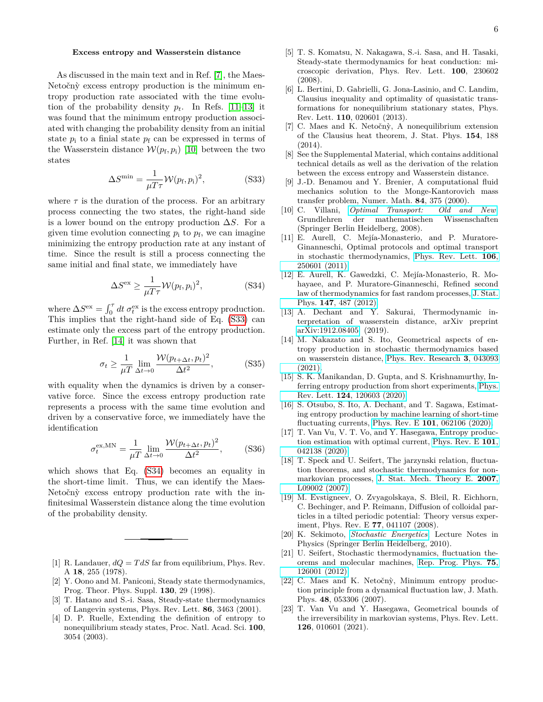## **Excess entropy and Wasserstein distance**

As discussed in the main text and in Ref. [\[7\]](#page-5-1), the Maes-Netočný excess entropy production is the minimum entropy production rate associated with the time evolution of the probability density  $p_t$ . In Refs. [\[11–](#page-5-7)[13\]](#page-5-8) it was found that the minimum entropy production associated with changing the probability density from an initial state  $p_i$  to a finial state  $p_f$  can be expressed in terms of the Wasserstein distance  $W(p_f, p_i)$  [\[10\]](#page-5-6) between the two states

$$
\Delta S^{\min} = \frac{1}{\mu T \tau} \mathcal{W}(p_{\text{f}}, p_{\text{i}})^2, \tag{S33}
$$

where  $\tau$  is the duration of the process. For an arbitrary process connecting the two states, the right-hand side is a lower bound on the entropy production ∆*S*. For a given time evolution connecting  $p_i$  to  $p_f$ , we can imagine minimizing the entropy production rate at any instant of time. Since the result is still a process connecting the same initial and final state, we immediately have

$$
\Delta S^{\text{ex}} \ge \frac{1}{\mu T \tau} \mathcal{W}(p_{\text{f}}, p_{\text{i}})^2,\tag{S34}
$$

where  $\Delta S^{\text{ex}} = \int_0^{\tau} dt \sigma_t^{\text{ex}}$  is the excess entropy production. This implies that the right-hand side of Eq. [\(S33\)](#page-5-18) can estimate only the excess part of the entropy production. Further, in Ref. [\[14\]](#page-5-9) it was shown that

$$
\sigma_t \ge \frac{1}{\mu T} \lim_{\Delta t \to 0} \frac{\mathcal{W}(p_{t+\Delta t}, p_t)^2}{\Delta t^2},
$$
 (S35)

with equality when the dynamics is driven by a conservative force. Since the excess entropy production rate represents a process with the same time evolution and driven by a conservative force, we immediately have the identification

$$
\sigma_t^{\text{ex,MN}} = \frac{1}{\mu T} \lim_{\Delta t \to 0} \frac{\mathcal{W}(p_{t+\Delta t}, p_t)^2}{\Delta t^2}, \quad (S36)
$$

which shows that Eq. [\(S34\)](#page-5-19) becomes an equality in the short-time limit. Thus, we can identify the Maes-Netočný excess entropy production rate with the infinitesimal Wasserstein distance along the time evolution of the probability density.

- <span id="page-5-0"></span>[1] R. Landauer,  $dQ = T dS$  far from equilibrium, Phys. Rev. A **18**, 255 (1978).
- [2] Y. Oono and M. Paniconi, Steady state thermodynamics, Prog. Theor. Phys. Suppl. **130**, 29 (1998).
- <span id="page-5-2"></span>[3] T. Hatano and S.-i. Sasa, Steady-state thermodynamics of Langevin systems, Phys. Rev. Lett. **86**, 3463 (2001).
- [4] D. P. Ruelle, Extending the definition of entropy to nonequilibrium steady states, Proc. Natl. Acad. Sci. **100**, 3054 (2003).
- <span id="page-5-3"></span>[5] T. S. Komatsu, N. Nakagawa, S.-i. Sasa, and H. Tasaki, Steady-state thermodynamics for heat conduction: microscopic derivation, Phys. Rev. Lett. **100**, 230602 (2008).
- [6] L. Bertini, D. Gabrielli, G. Jona-Lasinio, and C. Landim, Clausius inequality and optimality of quasistatic transformations for nonequilibrium stationary states, Phys. Rev. Lett. **110**, 020601 (2013).
- <span id="page-5-1"></span>[7] C. Maes and K. Netočnỳ, A nonequilibrium extension of the Clausius heat theorem, J. Stat. Phys. **154**, 188 (2014).
- <span id="page-5-4"></span>[8] See the Supplemental Material, which contains additional technical details as well as the derivation of the relation between the excess entropy and Wasserstein distance.
- <span id="page-5-18"></span><span id="page-5-5"></span>[9] J.-D. Benamou and Y. Brenier, A computational fluid mechanics solution to the Monge-Kantorovich mass transfer problem, Numer. Math. **84**, 375 (2000).
- <span id="page-5-6"></span>[10] C. Villani, *[Optimal Transport: Old and New](https://books.google.co.jp/books?id=hV8o5R7_5tkC)*, Grundlehren der mathematischen Wissenschaften (Springer Berlin Heidelberg, 2008).
- <span id="page-5-7"></span>[11] E. Aurell, C. Mejía-Monasterio, and P. Muratore-Ginanneschi, Optimal protocols and optimal transport in stochastic thermodynamics, [Phys. Rev. Lett.](https://doi.org/10.1103/PhysRevLett.106.250601) **106**, [250601 \(2011\).](https://doi.org/10.1103/PhysRevLett.106.250601)
- <span id="page-5-19"></span>[12] E. Aurell, K. Gawedzki, C. Mejía-Monasterio, R. Mohayaee, and P. Muratore-Ginanneschi, Refined second law of thermodynamics for fast random processes, [J. Stat.](https://doi.org/10.1007/s10955-012-0478-x) Phys. **147**[, 487 \(2012\).](https://doi.org/10.1007/s10955-012-0478-x)
- <span id="page-5-8"></span>[13] A. Dechant and Y. Sakurai, Thermodynamic interpretation of wasserstein distance, arXiv preprint [arXiv:1912.08405](http://arxiv.org/abs/1912.08405) (2019).
- <span id="page-5-9"></span>[14] M. Nakazato and S. Ito, Geometrical aspects of entropy production in stochastic thermodynamics based on wasserstein distance, [Phys. Rev. Research](https://doi.org/10.1103/PhysRevResearch.3.043093) **3**, 043093 [\(2021\).](https://doi.org/10.1103/PhysRevResearch.3.043093)
- <span id="page-5-10"></span>[15] S. K. Manikandan, D. Gupta, and S. Krishnamurthy, Inferring entropy production from short experiments, [Phys.](https://doi.org/10.1103/PhysRevLett.124.120603) Rev. Lett. **124**[, 120603 \(2020\).](https://doi.org/10.1103/PhysRevLett.124.120603)
- [16] S. Otsubo, S. Ito, A. Dechant, and T. Sagawa, Estimating entropy production by machine learning of short-time fluctuating currents, Phys. Rev. E **101**[, 062106 \(2020\).](https://doi.org/10.1103/PhysRevE.101.062106)
- <span id="page-5-11"></span>[17] T. Van Vu, V. T. Vo, and Y. Hasegawa, Entropy production estimation with optimal current, [Phys. Rev. E](https://doi.org/10.1103/PhysRevE.101.042138) **101**, [042138 \(2020\).](https://doi.org/10.1103/PhysRevE.101.042138)
- <span id="page-5-12"></span>[18] T. Speck and U. Seifert, The jarzynski relation, fluctuation theorems, and stochastic thermodynamics for nonmarkovian processes, [J. Stat. Mech. Theory E.](https://doi.org/10.1088/1742-5468/2007/09/l09002) **2007**, [L09002 \(2007\).](https://doi.org/10.1088/1742-5468/2007/09/l09002)
- <span id="page-5-13"></span>[19] M. Evstigneev, O. Zvyagolskaya, S. Bleil, R. Eichhorn, C. Bechinger, and P. Reimann, Diffusion of colloidal particles in a tilted periodic potential: Theory versus experiment, Phys. Rev. E **77**, 041107 (2008).
- <span id="page-5-14"></span>[20] K. Sekimoto, *[Stochastic Energetics](https://books.google.de/books?id=8Fq7BQAAQBAJ)*, Lecture Notes in Physics (Springer Berlin Heidelberg, 2010).
- <span id="page-5-15"></span>[21] U. Seifert, Stochastic thermodynamics, fluctuation theorems and molecular machines, [Rep. Prog. Phys.](http://stacks.iop.org/0034-4885/75/i=12/a=126001) **75**, [126001 \(2012\).](http://stacks.iop.org/0034-4885/75/i=12/a=126001)
- <span id="page-5-16"></span>[22] C. Maes and K. Netočnỳ, Minimum entropy production principle from a dynamical fluctuation law, J. Math. Phys. **48**, 053306 (2007).
- <span id="page-5-17"></span>[23] T. Van Vu and Y. Hasegawa, Geometrical bounds of the irreversibility in markovian systems, Phys. Rev. Lett. **126**, 010601 (2021).